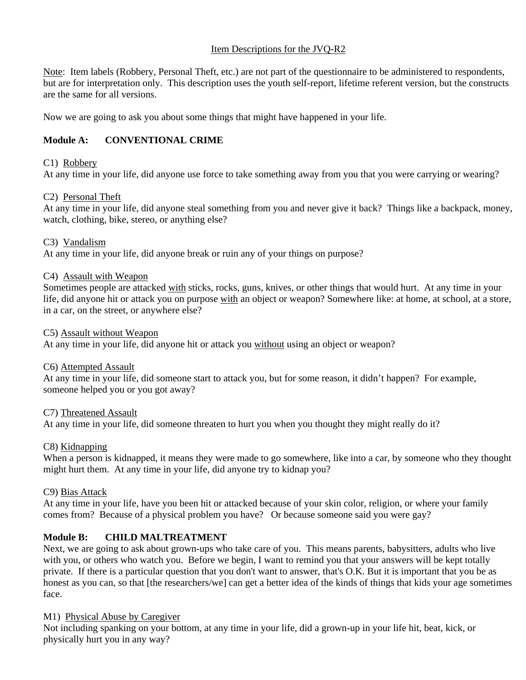# Item Descriptions for the JVQ-R2

Note: Item labels (Robbery, Personal Theft, etc.) are not part of the questionnaire to be administered to respondents, but are for interpretation only. This description uses the youth self-report, lifetime referent version, but the constructs are the same for all versions.

Now we are going to ask you about some things that might have happened in your life.

# **Module A: CONVENTIONAL CRIME**

# C1) Robbery

At any time in your life, did anyone use force to take something away from you that you were carrying or wearing?

## C2) Personal Theft

At any time in your life, did anyone steal something from you and never give it back? Things like a backpack, money, watch, clothing, bike, stereo, or anything else?

## C3) Vandalism

At any time in your life, did anyone break or ruin any of your things on purpose?

## C4) Assault with Weapon

Sometimes people are attacked with sticks, rocks, guns, knives, or other things that would hurt. At any time in your life, did anyone hit or attack you on purpose with an object or weapon? Somewhere like: at home, at school, at a store, in a car, on the street, or anywhere else?

## C5) Assault without Weapon

At any time in your life, did anyone hit or attack you without using an object or weapon?

## C6) Attempted Assault

At any time in your life, did someone start to attack you, but for some reason, it didn't happen? For example, someone helped you or you got away?

## C7) Threatened Assault

At any time in your life, did someone threaten to hurt you when you thought they might really do it?

## C8) Kidnapping

When a person is kidnapped, it means they were made to go somewhere, like into a car, by someone who they thought might hurt them. At any time in your life, did anyone try to kidnap you?

## C9) Bias Attack

At any time in your life, have you been hit or attacked because of your skin color, religion, or where your family comes from? Because of a physical problem you have? Or because someone said you were gay?

# **Module B: CHILD MALTREATMENT**

Next, we are going to ask about grown-ups who take care of you. This means parents, babysitters, adults who live with you, or others who watch you. Before we begin, I want to remind you that your answers will be kept totally private. If there is a particular question that you don't want to answer, that's O.K. But it is important that you be as honest as you can, so that [the researchers/we] can get a better idea of the kinds of things that kids your age sometimes face.

## M1) Physical Abuse by Caregiver

Not including spanking on your bottom, at any time in your life, did a grown-up in your life hit, beat, kick, or physically hurt you in any way?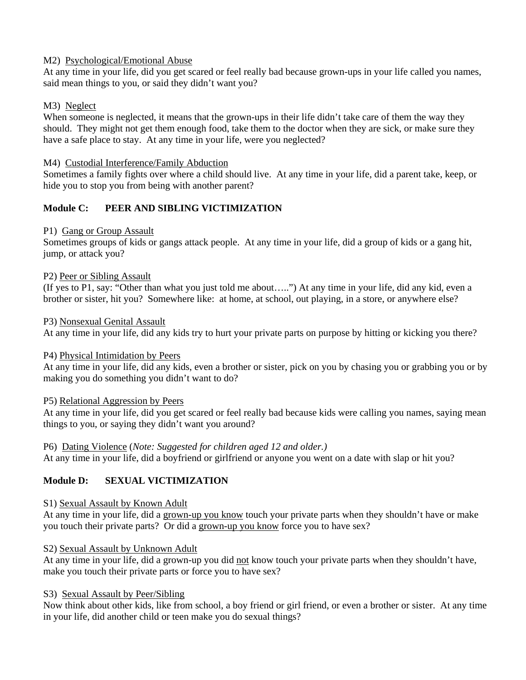## M2) Psychological/Emotional Abuse

At any time in your life, did you get scared or feel really bad because grown-ups in your life called you names, said mean things to you, or said they didn't want you?

## M3) Neglect

When someone is neglected, it means that the grown-ups in their life didn't take care of them the way they should. They might not get them enough food, take them to the doctor when they are sick, or make sure they have a safe place to stay. At any time in your life, were you neglected?

### M4) Custodial Interference/Family Abduction

Sometimes a family fights over where a child should live. At any time in your life, did a parent take, keep, or hide you to stop you from being with another parent?

# **Module C: PEER AND SIBLING VICTIMIZATION**

## P1) Gang or Group Assault

Sometimes groups of kids or gangs attack people. At any time in your life, did a group of kids or a gang hit, jump, or attack you?

## P2) Peer or Sibling Assault

(If yes to P1, say: "Other than what you just told me about…..") At any time in your life, did any kid, even a brother or sister, hit you? Somewhere like: at home, at school, out playing, in a store, or anywhere else?

#### P3) Nonsexual Genital Assault

At any time in your life, did any kids try to hurt your private parts on purpose by hitting or kicking you there?

#### P4) Physical Intimidation by Peers

At any time in your life, did any kids, even a brother or sister, pick on you by chasing you or grabbing you or by making you do something you didn't want to do?

#### P5) Relational Aggression by Peers

At any time in your life, did you get scared or feel really bad because kids were calling you names, saying mean things to you, or saying they didn't want you around?

#### P6) Dating Violence (*Note: Suggested for children aged 12 and older.)*

At any time in your life, did a boyfriend or girlfriend or anyone you went on a date with slap or hit you?

## **Module D: SEXUAL VICTIMIZATION**

#### S1) Sexual Assault by Known Adult

At any time in your life, did a grown-up you know touch your private parts when they shouldn't have or make you touch their private parts? Or did a grown-up you know force you to have sex?

#### S2) Sexual Assault by Unknown Adult

At any time in your life, did a grown-up you did not know touch your private parts when they shouldn't have, make you touch their private parts or force you to have sex?

#### S3) Sexual Assault by Peer/Sibling

Now think about other kids, like from school, a boy friend or girl friend, or even a brother or sister. At any time in your life, did another child or teen make you do sexual things?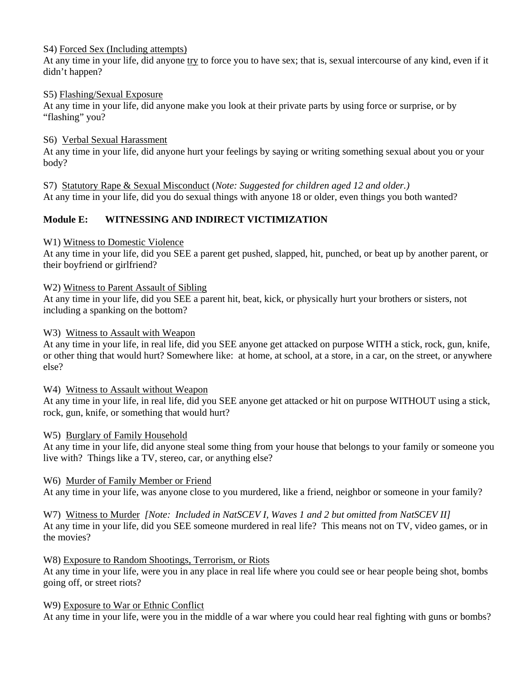## S4) Forced Sex (Including attempts)

At any time in your life, did anyone try to force you to have sex; that is, sexual intercourse of any kind, even if it didn't happen?

## S5) Flashing/Sexual Exposure

At any time in your life, did anyone make you look at their private parts by using force or surprise, or by "flashing" you?

## S6) Verbal Sexual Harassment

At any time in your life, did anyone hurt your feelings by saying or writing something sexual about you or your body?

S7) Statutory Rape & Sexual Misconduct (*Note: Suggested for children aged 12 and older.)* At any time in your life, did you do sexual things with anyone 18 or older, even things you both wanted?

# **Module E: WITNESSING AND INDIRECT VICTIMIZATION**

## W1) Witness to Domestic Violence

At any time in your life, did you SEE a parent get pushed, slapped, hit, punched, or beat up by another parent, or their boyfriend or girlfriend?

#### W2) Witness to Parent Assault of Sibling

At any time in your life, did you SEE a parent hit, beat, kick, or physically hurt your brothers or sisters, not including a spanking on the bottom?

## W3) Witness to Assault with Weapon

At any time in your life, in real life, did you SEE anyone get attacked on purpose WITH a stick, rock, gun, knife, or other thing that would hurt? Somewhere like: at home, at school, at a store, in a car, on the street, or anywhere else?

#### W4) Witness to Assault without Weapon

At any time in your life, in real life, did you SEE anyone get attacked or hit on purpose WITHOUT using a stick, rock, gun, knife, or something that would hurt?

## W5) Burglary of Family Household

At any time in your life, did anyone steal some thing from your house that belongs to your family or someone you live with? Things like a TV, stereo, car, or anything else?

## W6) Murder of Family Member or Friend

At any time in your life, was anyone close to you murdered, like a friend, neighbor or someone in your family?

W7) Witness to Murder *[Note: Included in NatSCEV I, Waves 1 and 2 but omitted from NatSCEV II]* At any time in your life, did you SEE someone murdered in real life? This means not on TV, video games, or in the movies?

#### W8) Exposure to Random Shootings, Terrorism, or Riots

At any time in your life, were you in any place in real life where you could see or hear people being shot, bombs going off, or street riots?

#### W9) Exposure to War or Ethnic Conflict

At any time in your life, were you in the middle of a war where you could hear real fighting with guns or bombs?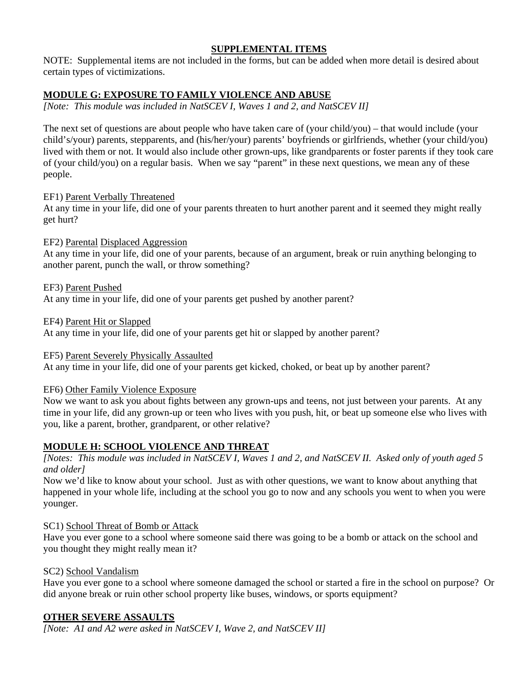# **SUPPLEMENTAL ITEMS**

NOTE: Supplemental items are not included in the forms, but can be added when more detail is desired about certain types of victimizations.

# **MODULE G: EXPOSURE TO FAMILY VIOLENCE AND ABUSE**

*[Note: This module was included in NatSCEV I, Waves 1 and 2, and NatSCEV II]* 

The next set of questions are about people who have taken care of (your child/you) – that would include (your child's/your) parents, stepparents, and (his/her/your) parents' boyfriends or girlfriends, whether (your child/you) lived with them or not. It would also include other grown-ups, like grandparents or foster parents if they took care of (your child/you) on a regular basis. When we say "parent" in these next questions, we mean any of these people.

# EF1) Parent Verbally Threatened

At any time in your life, did one of your parents threaten to hurt another parent and it seemed they might really get hurt?

# EF2) Parental Displaced Aggression

At any time in your life, did one of your parents, because of an argument, break or ruin anything belonging to another parent, punch the wall, or throw something?

EF3) Parent Pushed At any time in your life, did one of your parents get pushed by another parent?

EF4) Parent Hit or Slapped

At any time in your life, did one of your parents get hit or slapped by another parent?

## EF5) Parent Severely Physically Assaulted

At any time in your life, did one of your parents get kicked, choked, or beat up by another parent?

## EF6) Other Family Violence Exposure

Now we want to ask you about fights between any grown-ups and teens, not just between your parents. At any time in your life, did any grown-up or teen who lives with you push, hit, or beat up someone else who lives with you, like a parent, brother, grandparent, or other relative?

# **MODULE H: SCHOOL VIOLENCE AND THREAT**

*[Notes: This module was included in NatSCEV I, Waves 1 and 2, and NatSCEV II. Asked only of youth aged 5 and older]* 

Now we'd like to know about your school. Just as with other questions, we want to know about anything that happened in your whole life, including at the school you go to now and any schools you went to when you were younger.

## SC1) School Threat of Bomb or Attack

Have you ever gone to a school where someone said there was going to be a bomb or attack on the school and you thought they might really mean it?

## SC2) School Vandalism

Have you ever gone to a school where someone damaged the school or started a fire in the school on purpose? Or did anyone break or ruin other school property like buses, windows, or sports equipment?

# **OTHER SEVERE ASSAULTS**

*[Note: A1 and A2 were asked in NatSCEV I, Wave 2, and NatSCEV II]*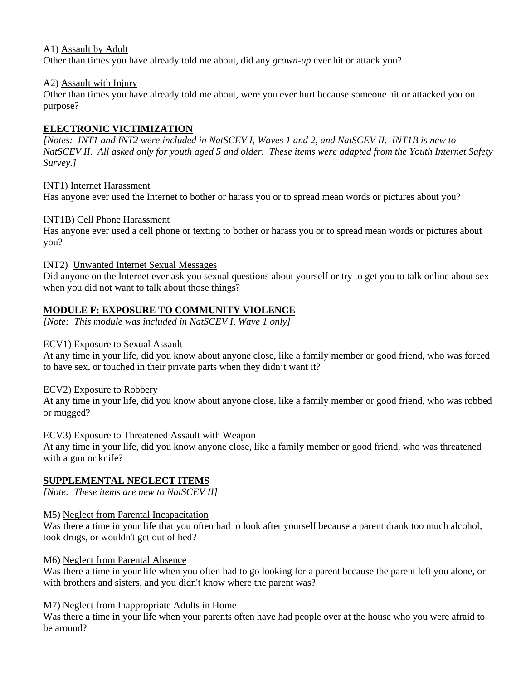## A1) Assault by Adult

Other than times you have already told me about, did any *grown-up* ever hit or attack you?

### A2) Assault with Injury

Other than times you have already told me about, were you ever hurt because someone hit or attacked you on purpose?

# **ELECTRONIC VICTIMIZATION**

*[Notes: INT1 and INT2 were included in NatSCEV I, Waves 1 and 2, and NatSCEV II. INT1B is new to NatSCEV II. All asked only for youth aged 5 and older. These items were adapted from the Youth Internet Safety Survey.]* 

## INT1) Internet Harassment

Has anyone ever used the Internet to bother or harass you or to spread mean words or pictures about you?

## INT1B) Cell Phone Harassment

Has anyone ever used a cell phone or texting to bother or harass you or to spread mean words or pictures about you?

## INT2) Unwanted Internet Sexual Messages

Did anyone on the Internet ever ask you sexual questions about yourself or try to get you to talk online about sex when you did not want to talk about those things?

## **MODULE F: EXPOSURE TO COMMUNITY VIOLENCE**

*[Note: This module was included in NatSCEV I, Wave 1 only]* 

## ECV1) Exposure to Sexual Assault

At any time in your life, did you know about anyone close, like a family member or good friend, who was forced to have sex, or touched in their private parts when they didn't want it?

## ECV2) Exposure to Robbery

At any time in your life, did you know about anyone close, like a family member or good friend, who was robbed or mugged?

## ECV3) Exposure to Threatened Assault with Weapon

At any time in your life, did you know anyone close, like a family member or good friend, who was threatened with a gun or knife?

## **SUPPLEMENTAL NEGLECT ITEMS**

*[Note: These items are new to NatSCEV II]* 

## M5) Neglect from Parental Incapacitation

Was there a time in your life that you often had to look after yourself because a parent drank too much alcohol, took drugs, or wouldn't get out of bed?

#### M6) Neglect from Parental Absence

Was there a time in your life when you often had to go looking for a parent because the parent left you alone, or with brothers and sisters, and you didn't know where the parent was?

## M7) Neglect from Inappropriate Adults in Home

Was there a time in your life when your parents often have had people over at the house who you were afraid to be around?